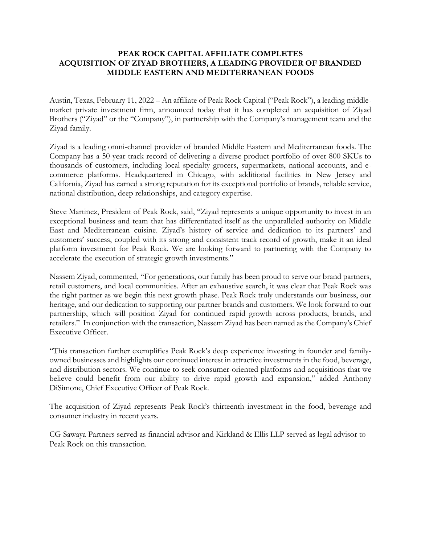## **PEAK ROCK CAPITAL AFFILIATE COMPLETES ACQUISITION OF ZIYAD BROTHERS, A LEADING PROVIDER OF BRANDED MIDDLE EASTERN AND MEDITERRANEAN FOODS**

Austin, Texas, February 11, 2022 – An affiliate of Peak Rock Capital ("Peak Rock"), a leading middlemarket private investment firm, announced today that it has completed an acquisition of Ziyad Brothers ("Ziyad" or the "Company"), in partnership with the Company's management team and the Ziyad family.

Ziyad is a leading omni-channel provider of branded Middle Eastern and Mediterranean foods. The Company has a 50-year track record of delivering a diverse product portfolio of over 800 SKUs to thousands of customers, including local specialty grocers, supermarkets, national accounts, and ecommerce platforms. Headquartered in Chicago, with additional facilities in New Jersey and California, Ziyad has earned a strong reputation for its exceptional portfolio of brands, reliable service, national distribution, deep relationships, and category expertise.

Steve Martinez, President of Peak Rock, said, "Ziyad represents a unique opportunity to invest in an exceptional business and team that has differentiated itself as the unparalleled authority on Middle East and Mediterranean cuisine. Ziyad's history of service and dedication to its partners' and customers' success, coupled with its strong and consistent track record of growth, make it an ideal platform investment for Peak Rock. We are looking forward to partnering with the Company to accelerate the execution of strategic growth investments."

Nassem Ziyad, commented, "For generations, our family has been proud to serve our brand partners, retail customers, and local communities. After an exhaustive search, it was clear that Peak Rock was the right partner as we begin this next growth phase. Peak Rock truly understands our business, our heritage, and our dedication to supporting our partner brands and customers. We look forward to our partnership, which will position Ziyad for continued rapid growth across products, brands, and retailers." In conjunction with the transaction, Nassem Ziyad has been named as the Company's Chief Executive Officer.

"This transaction further exemplifies Peak Rock's deep experience investing in founder and familyowned businesses and highlights our continued interest in attractive investments in the food, beverage, and distribution sectors. We continue to seek consumer-oriented platforms and acquisitions that we believe could benefit from our ability to drive rapid growth and expansion," added Anthony DiSimone, Chief Executive Officer of Peak Rock.

The acquisition of Ziyad represents Peak Rock's thirteenth investment in the food, beverage and consumer industry in recent years.

CG Sawaya Partners served as financial advisor and Kirkland & Ellis LLP served as legal advisor to Peak Rock on this transaction.